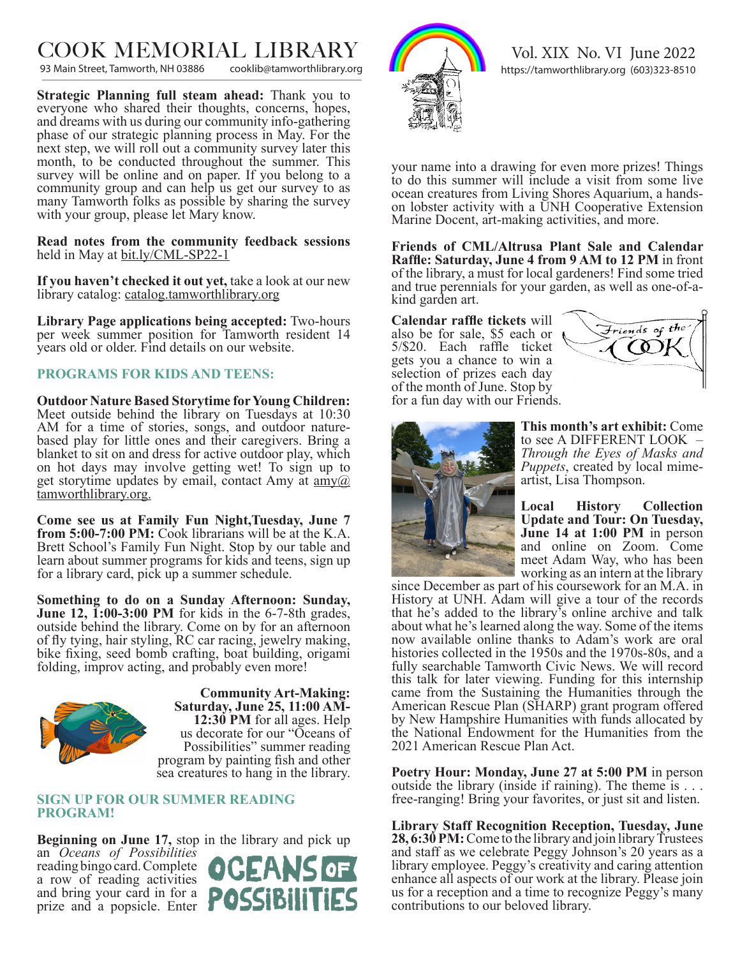$\text{COOK}$   $\text{MEMORIAL}$   $\text{LIBRARY}$ <br>93 Main Street, Tamworth, NH 03886 cooklib@tamworthlibrary.org

93 Main Street, Tamworth, NH 03886

**Strategic Planning full steam ahead:** Thank you to everyone who shared their thoughts, concerns, hopes, and dreams with us during our community info-gathering phase of our strategic planning process in May. For the next step, we will roll out a community survey later this month, to be conducted throughout the summer. This survey will be online and on paper. If you belong to a community group and can help us get our survey to as many Tamworth folks as possible by sharing the survey with your group, please let Mary know.

**Read notes from the community feedback sessions** held in May at <u>bit.ly/CML-SP22-1</u>

**If you haven't checked it out yet,** take a look at our new library catalog: catalog.tamworthlibrary.org

**Library Page applications being accepted:** Two-hours per week summer position for Tamworth resident 14 years old or older. Find details on our website.

## **PROGRAMS FOR KIDS AND TEENS:**

**Outdoor Nature Based Storytime for Young Children:**  Meet outside behind the library on Tuesdays at 10:30 AM for a time of stories, songs, and outdoor naturebased play for little ones and their caregivers. Bring a blanket to sit on and dress for active outdoor play, which on hot days may involve getting wet! To sign up to get storytime updates by email, contact Amy at  $\frac{amv}{a}$ tamworthlibrary.org.

**Come see us at Family Fun Night,Tuesday, June 7 from 5:00-7:00 PM:** Cook librarians will be at the K.A. Brett School's Family Fun Night. Stop by our table and learn about summer programs for kids and teens, sign up for a library card, pick up a summer schedule.

**Something to do on a Sunday Afternoon: Sunday, June 12, 1:00-3:00 PM** for kids in the 6-7-8th grades, outside behind the library. Come on by for an afternoon of fly tying, hair styling, RC car racing, jewelry making, bike fixing, seed bomb crafting, boat building, origami folding, improv acting, and probably even more!



**Community Art-Making: Saturday, June 25, 11:00 AM-12:30 PM** for all ages. Help us decorate for our "Oceans of Possibilities" summer reading program by painting fish and other sea creatures to hang in the library.

### **SIGN UP FOR OUR SUMMER READING PROGRAM!**

**Beginning on June 17,** stop in the library and pick up an *Oceans of Possibilities*  reading bingo card. Complete a row of reading activities and bring your card in for a prize and a popsicle. Enter





your name into a drawing for even more prizes! Things to do this summer will include a visit from some live ocean creatures from Living Shores Aquarium, a handson lobster activity with a UNH Cooperative Extension Marine Docent, art-making activities, and more.

**Friends of CML/Altrusa Plant Sale and Calendar Raffle: Saturday, June 4 from 9 AM to 12 PM** in front of the library, a must for local gardeners! Find some tried and true perennials for your garden, as well as one-of-akind garden art.

**Calendar raffle tickets** will also be for sale, \$5 each or 5/\$20. Each raffle ticket gets you a chance to win a selection of prizes each day of the month of June. Stop by for a fun day with our Friends.





**This month's art exhibit:** Come to see A DIFFERENT LOOK – *Through the Eyes of Masks and Puppets*, created by local mimeartist, Lisa Thompson.

**Local History Collection Update and Tour: On Tuesday, June 14 at 1:00 PM** in person and online on Zoom. Come meet Adam Way, who has been working as an intern at the library

since December as part of his coursework for an M.A. in History at UNH. Adam will give a tour of the records that he's added to the library's online archive and talk about what he's learned along the way. Some of the items now available online thanks to Adam's work are oral histories collected in the 1950s and the 1970s-80s, and a fully searchable Tamworth Civic News. We will record this talk for later viewing. Funding for this internship came from the Sustaining the Humanities through the American Rescue Plan (SHARP) grant program offered by New Hampshire Humanities with funds allocated by the National Endowment for the Humanities from the 2021 American Rescue Plan Act.

**Poetry Hour: Monday, June 27 at 5:00 PM** in person outside the library (inside if raining). The theme is . . . free-ranging! Bring your favorites, or just sit and listen.

**Library Staff Recognition Reception, Tuesday, June 28, 6:30 PM:** Come to the library and join library Trustees and staff as we celebrate Peggy Johnson's 20 years as a library employee. Peggy's creativity and caring attention enhance all aspects of our work at the library. Please join us for a reception and a time to recognize Peggy's many contributions to our beloved library.